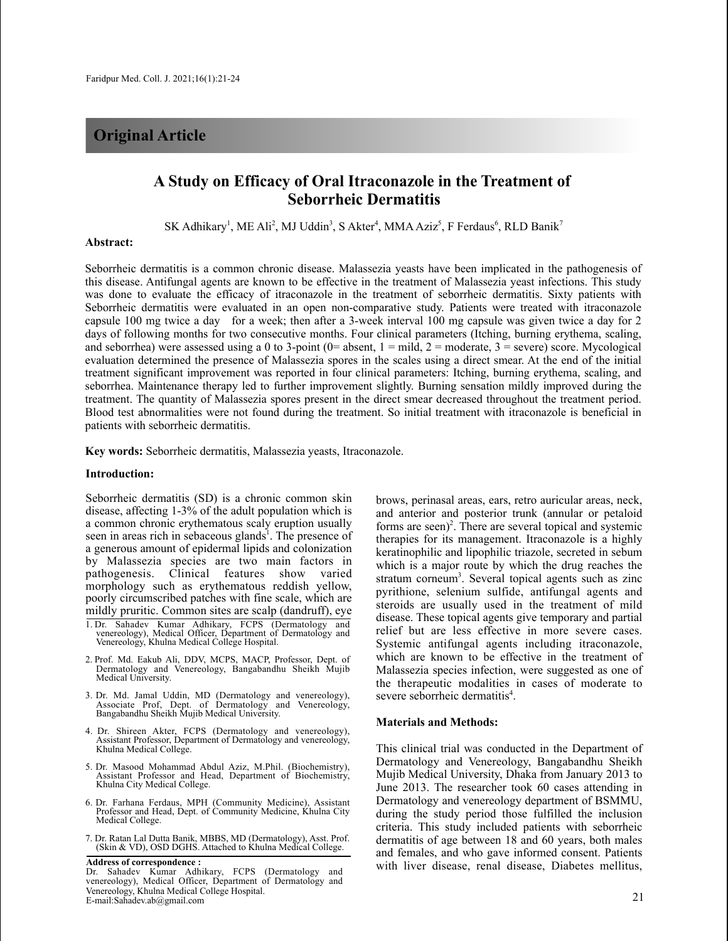# **Original Article**

## **A Study on Efficacy of Oral Itraconazole in the Treatment of Seborrheic Dermatitis**

SK Adhikary<sup>1</sup>, ME Ali<sup>2</sup>, MJ Uddin<sup>3</sup>, S Akter<sup>4</sup>, MMA Aziz<sup>5</sup>, F Ferdaus<sup>6</sup>, RLD Banik<sup>7</sup>

### **Abstract:**

Seborrheic dermatitis is a common chronic disease. Malassezia yeasts have been implicated in the pathogenesis of this disease. Antifungal agents are known to be effective in the treatment of Malassezia yeast infections. This study was done to evaluate the efficacy of itraconazole in the treatment of seborrheic dermatitis. Sixty patients with Seborrheic dermatitis were evaluated in an open non-comparative study. Patients were treated with itraconazole capsule 100 mg twice a day for a week; then after a 3-week interval 100 mg capsule was given twice a day for 2 days of following months for two consecutive months. Four clinical parameters (Itching, burning erythema, scaling, and seborrhea) were assessed using a 0 to 3-point ( $0=$  absent,  $1=$  mild,  $2=$  moderate,  $3=$  severe) score. Mycological evaluation determined the presence of Malassezia spores in the scales using a direct smear. At the end of the initial treatment significant improvement was reported in four clinical parameters: Itching, burning erythema, scaling, and seborrhea. Maintenance therapy led to further improvement slightly. Burning sensation mildly improved during the treatment. The quantity of Malassezia spores present in the direct smear decreased throughout the treatment period. Blood test abnormalities were not found during the treatment. So initial treatment with itraconazole is beneficial in patients with seborrheic dermatitis.

**Key words:** Seborrheic dermatitis, Malassezia yeasts, Itraconazole.

#### **Introduction:**

Seborrheic dermatitis (SD) is a chronic common skin disease, affecting 1-3% of the adult population which is a common chronic erythematous scaly eruption usually seen in areas rich in sebaceous glands<sup>1</sup>. The presence of a generous amount of epidermal lipids and colonization by Malassezia species are two main factors in pathogenesis. Clinical features show varied morphology such as erythematous reddish yellow, poorly circumscribed patches with fine scale, which are mildly pruritic. Common sites are scalp (dandruff), eye

- 1. Dr. Sahadev Kumar Adhikary, FCPS (Dermatology and venereology), Medical Officer, Department of Dermatology and Venereology, Khulna Medical College Hospital.
- 2. Prof. Md. Eakub Ali, DDV, MCPS, MACP, Professor, Dept. of Dermatology and Venereology, Bangabandhu Sheikh Mujib Medical University.
- 3. Dr. Md. Jamal Uddin, MD (Dermatology and venereology), Associate Prof, Dept. of Dermatology and Venereology, Bangabandhu Sheikh Mujib Medical University.
- 4. Dr. Shireen Akter, FCPS (Dermatology and venereology), Assistant Professor, Department of Dermatology and venereology, Khulna Medical College.
- 5. Dr. Masood Mohammad Abdul Aziz, M.Phil. (Biochemistry), Assistant Professor and Head, Department of Biochemistry, Khulna City Medical College.
- 6. Dr. Farhana Ferdaus, MPH (Community Medicine), Assistant Professor and Head, Dept. of Community Medicine, Khulna City Medical College.
- 7. Dr. Ratan Lal Dutta Banik, MBBS, MD (Dermatology), Asst. Prof. (Skin & VD), OSD DGHS. Attached to Khulna Medical College.

**Address of correspondence :** Dr. Sahadev Kumar Adhikary, FCPS (Dermatology and venereology), Medical Officer, Department of Dermatology and Venereology, Khulna Medical College Hospital. venereology, Khuma Medical Conege Hospital.<br>E-mail:Sahadev.ab@gmail.com 21

brows, perinasal areas, ears, retro auricular areas, neck, and anterior and posterior trunk (annular or petaloid forms are seen) 2 . There are several topical and systemic therapies for its management. Itraconazole is a highly keratinophilic and lipophilic triazole, secreted in sebum which is a major route by which the drug reaches the stratum corneum<sup>3</sup>. Several topical agents such as zinc pyrithione, selenium sulfide, antifungal agents and steroids are usually used in the treatment of mild disease. These topical agents give temporary and partial relief but are less effective in more severe cases. Systemic antifungal agents including itraconazole, which are known to be effective in the treatment of Malassezia species infection, were suggested as one of the therapeutic modalities in cases of moderate to severe seborrheic dermatitis 4 .

#### **Materials and Methods:**

This clinical trial was conducted in the Department of Dermatology and Venereology, Bangabandhu Sheikh Mujib Medical University, Dhaka from January 2013 to June 2013. The researcher took 60 cases attending in Dermatology and venereology department of BSMMU, during the study period those fulfilled the inclusion criteria. This study included patients with seborrheic dermatitis of age between 18 and 60 years, both males and females, and who gave informed consent. Patients with liver disease, renal disease, Diabetes mellitus,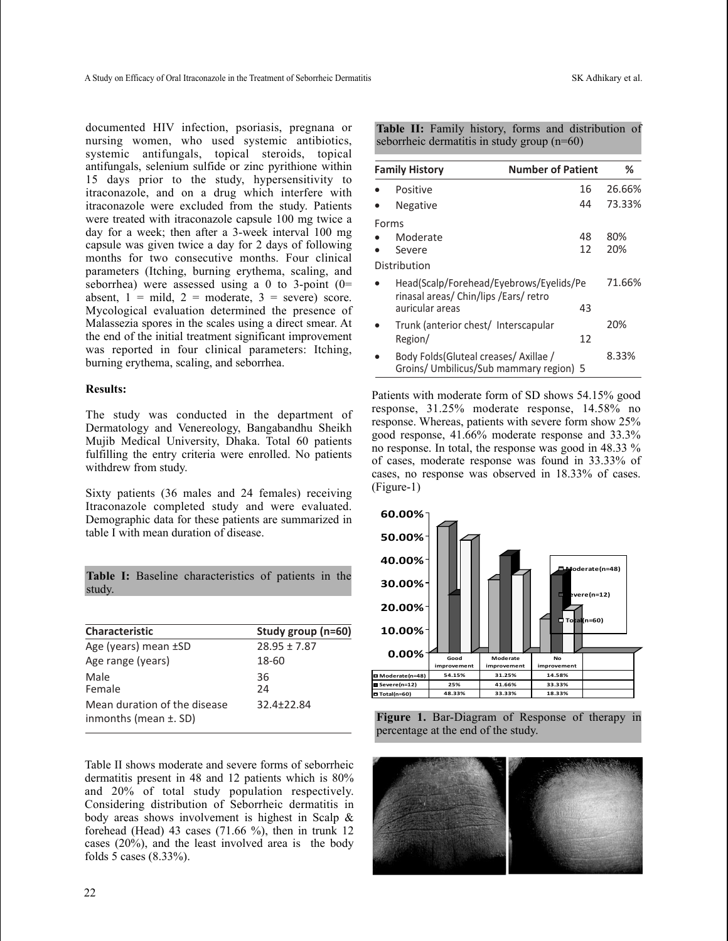documented HIV infection, psoriasis, pregnana or nursing women, who used systemic antibiotics, systemic antifungals, topical steroids, topical antifungals, selenium sulfide or zinc pyrithione within 15 days prior to the study, hypersensitivity to itraconazole, and on a drug which interfere with itraconazole were excluded from the study. Patients were treated with itraconazole capsule 100 mg twice a day for a week; then after a 3-week interval 100 mg capsule was given twice a day for 2 days of following months for two consecutive months. Four clinical parameters (Itching, burning erythema, scaling, and seborrhea) were assessed using a 0 to 3-point  $(0=$ absent,  $1 = \text{mild}$ ,  $2 = \text{moderate}$ ,  $3 = \text{severe}$  score. Mycological evaluation determined the presence of Malassezia spores in the scales using a direct smear. At the end of the initial treatment significant improvement was reported in four clinical parameters: Itching, burning erythema, scaling, and seborrhea.

#### **Results:**

The study was conducted in the department of Dermatology and Venereology, Bangabandhu Sheikh Mujib Medical University, Dhaka. Total 60 patients fulfilling the entry criteria were enrolled. No patients withdrew from study.

Sixty patients (36 males and 24 females) receiving Itraconazole completed study and were evaluated. Demographic data for these patients are summarized in table I with mean duration of disease.

**Table I:** Baseline characteristics of patients in the study.

| <b>Characteristic</b>                                      | Study group (n=60) |
|------------------------------------------------------------|--------------------|
| Age (years) mean ±SD                                       | $28.95 \pm 7.87$   |
| Age range (years)                                          | 18-60              |
| Male<br>Female                                             | 36<br>24           |
| Mean duration of the disease<br>inmonths (mean $\pm$ . SD) | 32.4±22.84         |

Table II shows moderate and severe forms of seborrheic dermatitis present in 48 and 12 patients which is 80% and 20% of total study population respectively. Considering distribution of Seborrheic dermatitis in body areas shows involvement is highest in Scalp & forehead (Head) 43 cases  $(71.66 \%)$ , then in trunk 12 cases (20%), and the least involved area is the body folds 5 cases (8.33%).

**Table II:** Family history, forms and distribution of seborrheic dermatitis in study group (n=60)

| <b>Family History</b>                                                             |                                                                                   | <b>Number of Patient</b> | ℅      |
|-----------------------------------------------------------------------------------|-----------------------------------------------------------------------------------|--------------------------|--------|
|                                                                                   | Positive                                                                          | 16                       | 26.66% |
|                                                                                   | <b>Negative</b>                                                                   | 44                       | 73.33% |
|                                                                                   | Forms                                                                             |                          |        |
|                                                                                   | Moderate                                                                          | 48                       | 80%    |
|                                                                                   | Severe                                                                            | 12                       | 20%    |
|                                                                                   | Distribution                                                                      |                          |        |
| Head(Scalp/Forehead/Eyebrows/Eyelids/Pe<br>rinasal areas/ Chin/lips / Ears/ retro |                                                                                   |                          | 71.66% |
|                                                                                   | auricular areas                                                                   | 43                       |        |
|                                                                                   | Trunk (anterior chest/ Interscapular                                              |                          | 20%    |
|                                                                                   | Region/                                                                           | 12                       |        |
|                                                                                   | Body Folds (Gluteal creases/ Axillae /<br>Groins/ Umbilicus/Sub mammary region) 5 |                          | 8.33%  |

Patients with moderate form of SD shows 54.15% good response, 31.25% moderate response, 14.58% no response. Whereas, patients with severe form show 25% good response, 41.66% moderate response and 33.3% no response. In total, the response was good in 48.33 % of cases, moderate response was found in 33.33% of cases, no response was observed in 18.33% of cases. (Figure-1)



**Figure 1.** Bar-Diagram of Response of therapy in percentage at the end of the study.

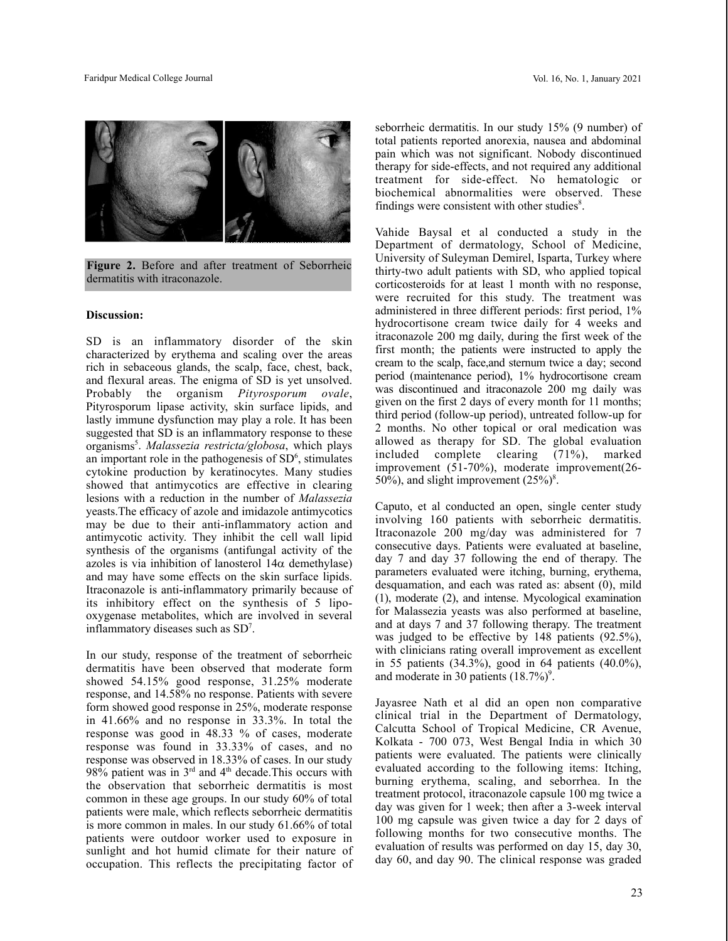

**Figure 2.** Before and after treatment of Seborrheic dermatitis with itraconazole.

## **Discussion:**

SD is an inflammatory disorder of the skin characterized by erythema and scaling over the areas rich in sebaceous glands, the scalp, face, chest, back, and flexural areas. The enigma of SD is yet unsolved. Probably the organism *Pityrosporum ovale*, Pityrosporum lipase activity, skin surface lipids, and lastly immune dysfunction may play a role. It has been suggested that SD is an inflammatory response to these organisms 5 . *Malassezia restricta/globosa*, which plays an important role in the pathogenesis of  $SD<sup>6</sup>$ , stimulates cytokine production by keratinocytes. Many studies showed that antimycotics are effective in clearing lesions with a reduction in the number of *Malassezia* yeasts.The efficacy of azole and imidazole antimycotics may be due to their anti-inflammatory action and antimycotic activity. They inhibit the cell wall lipid synthesis of the organisms (antifungal activity of the azoles is via inhibition of lanosterol  $14\alpha$  demethylase) and may have some effects on the skin surface lipids. Itraconazole is anti-inflammatory primarily because of its inhibitory effect on the synthesis of 5 lipooxygenase metabolites, which are involved in several inflammatory diseases such as SD<sup>7</sup>.

In our study, response of the treatment of seborrheic dermatitis have been observed that moderate form showed 54.15% good response, 31.25% moderate response, and 14.58% no response. Patients with severe form showed good response in 25%, moderate response in 41.66% and no response in 33.3%. In total the response was good in 48.33 % of cases, moderate response was found in 33.33% of cases, and no response was observed in 18.33% of cases. In our study 98% patient was in  $3<sup>rd</sup>$  and  $4<sup>th</sup>$  decade. This occurs with the observation that seborrheic dermatitis is most common in these age groups. In our study 60% of total patients were male, which reflects seborrheic dermatitis is more common in males. In our study 61.66% of total patients were outdoor worker used to exposure in sunlight and hot humid climate for their nature of occupation. This reflects the precipitating factor of

seborrheic dermatitis. In our study 15% (9 number) of total patients reported anorexia, nausea and abdominal pain which was not significant. Nobody discontinued therapy for side-effects, and not required any additional treatment for side-effect. No hematologic or biochemical abnormalities were observed. These findings were consistent with other studies<sup>8</sup>.

Vahide Baysal et al conducted a study in the Department of dermatology, School of Medicine, University of Suleyman Demirel, Isparta, Turkey where thirty-two adult patients with SD, who applied topical corticosteroids for at least 1 month with no response, were recruited for this study. The treatment was administered in three different periods: first period, 1% hydrocortisone cream twice daily for 4 weeks and itraconazole 200 mg daily, during the first week of the first month; the patients were instructed to apply the cream to the scalp, face,and sternum twice a day; second period (maintenance period), 1% hydrocortisone cream was discontinued and itraconazole 200 mg daily was given on the first 2 days of every month for 11 months; third period (follow-up period), untreated follow-up for 2 months. No other topical or oral medication was allowed as therapy for SD. The global evaluation included complete clearing (71%), marked improvement (51-70%), moderate improvement(26- 50%), and slight improvement  $(25\%)^8$ .

Caputo, et al conducted an open, single center study involving 160 patients with seborrheic dermatitis. Itraconazole 200 mg/day was administered for 7 consecutive days. Patients were evaluated at baseline, day 7 and day 37 following the end of therapy. The parameters evaluated were itching, burning, erythema, desquamation, and each was rated as: absent (0), mild (1), moderate (2), and intense. Mycological examination for Malassezia yeasts was also performed at baseline, and at days 7 and 37 following therapy. The treatment was judged to be effective by 148 patients (92.5%), with clinicians rating overall improvement as excellent in 55 patients (34.3%), good in 64 patients (40.0%), and moderate in 30 patients (18.7%)<sup>9</sup>.

Jayasree Nath et al did an open non comparative clinical trial in the Department of Dermatology, Calcutta School of Tropical Medicine, CR Avenue, Kolkata - 700 073, West Bengal India in which 30 patients were evaluated. The patients were clinically evaluated according to the following items: Itching, burning erythema, scaling, and seborrhea. In the treatment protocol, itraconazole capsule 100 mg twice a day was given for 1 week; then after a 3-week interval 100 mg capsule was given twice a day for 2 days of following months for two consecutive months. The evaluation of results was performed on day 15, day 30, day 60, and day 90. The clinical response was graded